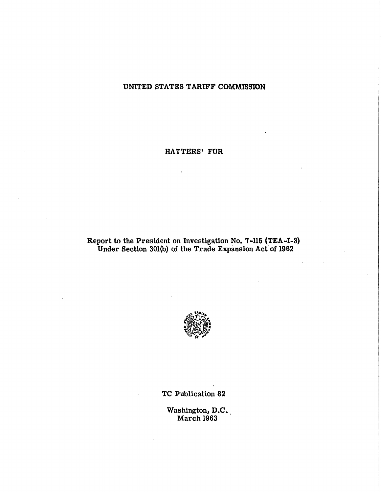# **UNITED STATES TARIFF COMMISSION**

## **HATTERS' FUR**

## **Report to the President on Investigation No. 7-115 (TEA-1-3) Under Section 301(b) of the Trade Expansion Act of 1962**



**TC Publication 82** 

**Washington, D.C. March 1963**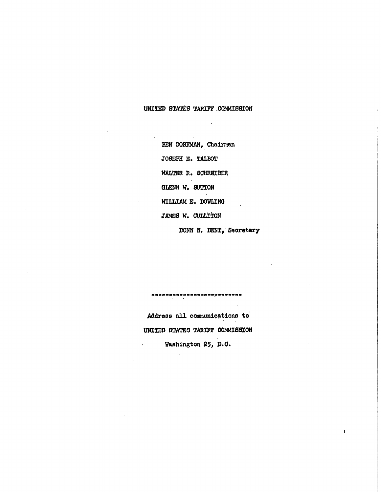## UNITED STATES TARIFF .COMMISSION

BEN DORFMAN, Chairman JOSEPH E. TALBOT WALTER R. SCHREIBER GLENN W. SUTTON WILLIAM E. DOWLING JAMES W. CULLITON

DONN N. BENT, Secretary

 $\mathbf{I}$ 

Address all communications to UNITED STATES TARIFF COMMISSION Washington 25, D.C.

 $\mathcal{A}$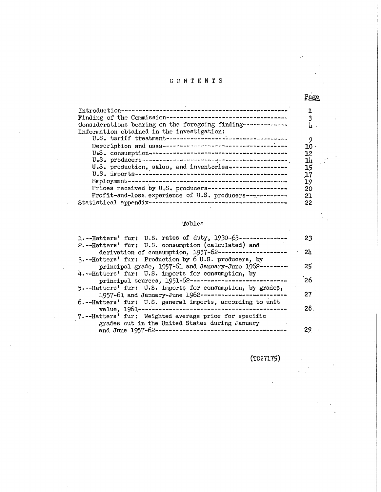# CONTENT S

| Considerations bearing on the foregoing finding-------------<br>Information obtained in the investigation: |     |
|------------------------------------------------------------------------------------------------------------|-----|
|                                                                                                            |     |
|                                                                                                            | 30  |
|                                                                                                            | 12  |
|                                                                                                            | 14  |
| U.S. production, sales, and inventories-----------------                                                   | 15  |
|                                                                                                            | 17  |
|                                                                                                            | 19  |
| Prices received by U.S. producers-----------------------                                                   | 20  |
| Profit-and-loss experience of U.S. producers------------                                                   | 21. |
|                                                                                                            | 22  |

# Tables

 $\mathbb{R}^2$ 

| 1.--Hatters' fur: U.S. rates of duty, 1930-63-----------   | 23  |
|------------------------------------------------------------|-----|
| 2.--Hatters' fur: U.S. consumption (calculated) and        |     |
| derivation of consumption, 1957-62----------               | 2և  |
| 3. --Hatters' fur: Production by 6 U.S. producers, by      |     |
| principal grade, 1957-61 and January-June 1962----         | 25  |
| 4.--Hatters' fur: U.S. imports for consumption, by         |     |
| principal sources, 1951-62---------------------------      | ՝26 |
| 5.--Hatters' fur: U.S. imports for consumption, by grades, |     |
| 1957-61 and January-June 1962------------------------      | 27  |
| 6.--Hatters' fur: U.S. general imports, according to unit  |     |
|                                                            | 28. |
| 7.--Hatters' fur: Weighted average price for specific      |     |
| grades cut in the United States during January             |     |
| and June $1957 - 62 -$                                     |     |

(TC 27175)

Page

 $\mathcal{A}$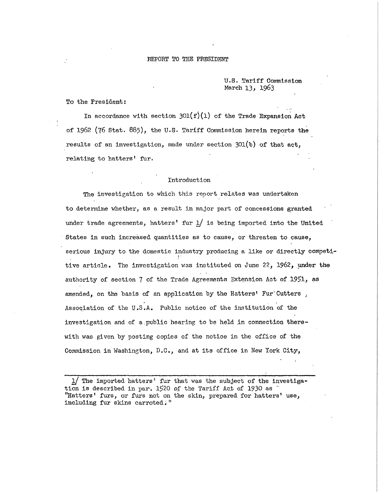#### REPORT TO THE PRESIDENT

U.S. Tariff Commission March 13*,* **1963** 

To the President:

In accordance with section  $301(f)(1)$  of the Trade Expansion Act of 1962 (76 Stat. 885), the U.S. Tariff Commission herein reports the results of an investigation, made under section  $301(b)$  of that act, relating to hatters' fur.

#### Introduction

The investigation to which this report relates was undertaken to determine whether, as a result in major part of concessions granted under trade agreements, hatters' fur  $1/$  is being imported into the United States in such increased quantities as to cause, or threaten to cause, serious injury to the domestic industry producing a like or directly competitive article. The investigation was instituted on June 22, 1962, under the authority of section 7 of the Trade Agreements Extension Act of 1951, as amended, on the basis of an application by the Hatters' Fur'Cutters, Association of the U.S.A. Public notice of the institution of the investigation and of a public hearing to be held in connection therewith was given by posting copies of the notice in the office of the Commission in Washington, D.C., and at its office in New York City,

 $1/$  The imported hatters' fur that was the subject of the investigation is described in par. 1520 of the Tariff Act of 1930 as " "Hatters' furs, or furs not on the skin, prepared for hatters' use, including fur skins carroted."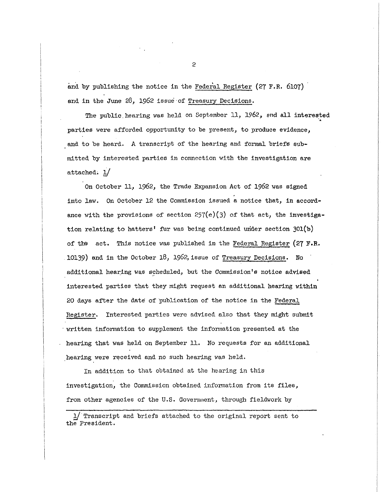and by publishing the notice in the Federal Register (27 F.R. 6107) and in the June 28, 1962 issue of Treasury Decisions.

The public hearing was held on September 11, 1962, and all interested parties were afforded opportunity to be present, to produce evidence, and to be heard. A transcript of the hearing and formal briefs submitted by interested parties in connection with the investigation are attached,  $1/$ 

On October 11, 1962, the Trade Expansion Act of 1962 was signed into law. On October 12 the Commission issued a notice that, in accordance with the provisions of section  $257(e)(3)$  of that act, the investigation relating to hatters' fur was being continued under section 301(b) of the act. This notice was published in the Federal Register (27 F.R. 10139) and in the October 18, 1962, issue of Treasury Decisions. No additional hearing was scheduled, but the Commission's notice advised interested parties that they might request an additional hearing within 20 days after the date of publication of the notice in the Federal Register. Interested parties were advised also that they might submit written information to supplement the information presented at the hearing that was held on September 11. No requests for an additional hearing were received and no such hearing was held.

In addition to that obtained at the hearing in this investigation, the Commission obtained information from its files, from other agencies of the U.S. Government, through fieldwork by

 $1/$  Transcript and briefs attached to the original report sent to the President.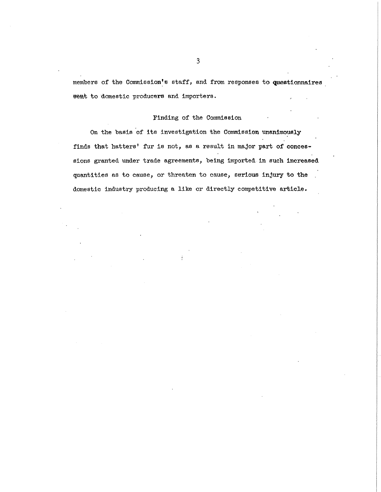members of the Commission's staff, and from responses to questionnaires sent to domestic producers and importers.

### Finding of the Commission

On the basis of its investigation the Commission unanimously finds that hatters' fur is not, as a result in major part of concessions granted under trade agreements, being imported in such increased quantities as to cause, or threaten to cause, serious injury to the domestic industry producing a like or directly competitive article.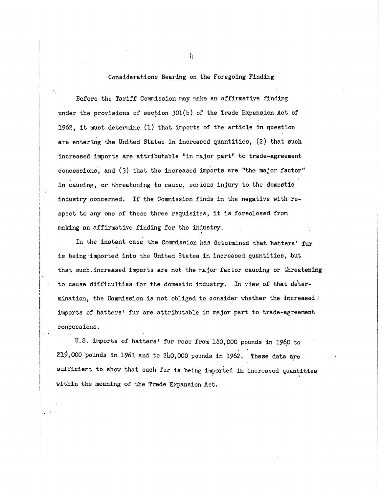#### Considerations Bearing on the Foregoing Finding

Before the Tariff Commission may make an affirmative finding under the provisions of section  $301(b)$  of the Trade Expansion Act of 1962, it must determine (1) that imports of the article in question are entering the United States in increased quantities, (2) that such increased imports are attributable "in major part" to trade-agreement concessions, and (3) that the increased imports are "the major factor" in causing, or threatening to cause, serious injury to the domestic industry concerned. If the Commission finds in the negative with respect to any one of these three requisites, it is foreclosed from making an affirmative finding for the industry.

In the instant case the Commission has determined that hatters' fur is being imported into the United States in increased quantities, but that such increased imports are not the major factor causing or threatening to cause difficulties for the domestic industry. In view of that determination, the Commission is not obliged to consider whether the increased  $\cdot$ imports of hatters' fur are attributable in major part to trade-agreement concessions.

U.S. imports of hatters' fur rose from 180,000 pounds in 1960 to 219,000 pounds in 1961 and to 240,000 pounds in 1962. These data are sufficient to show that such fur is being imported in increased quantities within the meaning of the Trade Expansion Act.

h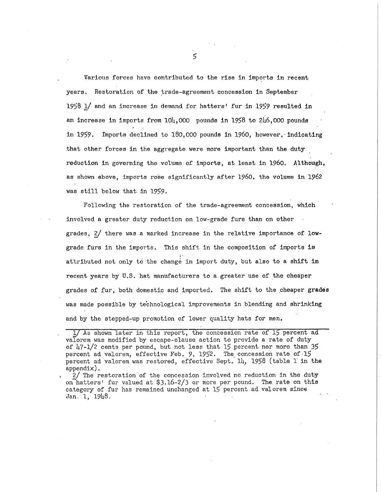Various forces have contributed to the rise in imports in recent years. Restoration of the trade-agreement concession in September 1958 1/ and an increase in demand for hatters' fur in 1959 resulted in an increase in imports from  $104,000$  pounds in 1958 to 246,000 pounds in 1959. Imports declined to 180,000 pounds in 1960, however, indicating that other forces in the aggregate were more important than the duty reduction in governing the volume of imports, at least in 1960. Although, as shown above, imports rose significantly after 1960, the volume in 1962 was still below that in 1959.

Following the restoration of the trade-agreement concession, which involved a greater duty reduction on low-grade furs than on other grades,  $2/$  there was a marked increase in the relative importance of lowgrade furs in the imports. This shift in the composition of imports is attributed not only to the change in import duty, but also to a shift in recent years by U.S. hat manufacturers to a greater use of the cheaper grades of fur, both domestic and imported. The shift to the cheaper grades was made possible by technological improvements in blending and shrinking and by the stepped-up promotion of lower quality hats for men.

1/ As shown later in this report, the concession rate of 15 percent ad valorem was modified by escape-clause action to provide a rate of duty of  $\frac{17 - 1}{2}$  cents per pound, but not less that 15 percent nor more than 35 percent ad valorem, effective Feb. 9, 1952. The concession rate of 15 percent ad valorem was restored, effective Sept. 14, 1958 (table 1 in the appendix).

2/ The restoration of the concession involved no reduction in the duty on hatters' fur valued at \$3.16-2/3 or more per pound. The rate on this category of fur has remained unchanged at 15 percent ad valorem since Jan. **1, 19U8. •**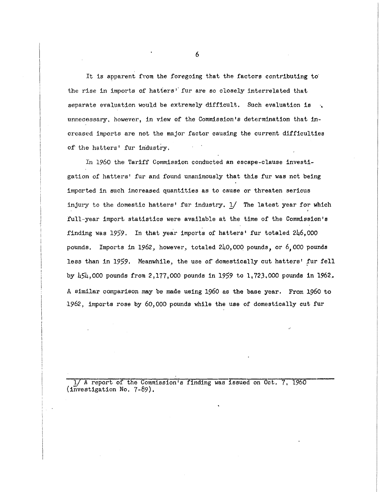It is apparent from the foregoing that the factors contributing to the rise in imports of hatters' fur are so closely interrelated that separate evaluation would be extremely difficult. Such evaluation is unnecessary, however, in view of the Commission's determination that increased imports are not the major factor causing the current difficulties of the hatters' fur industry.

In 1960 the Tariff Commission conducted an escape-clause investigation of hatters' fur and found unanimously that this fur was not being imported in such increased quantities as to cause or threaten serious injury to the domestic hatters' fur industry. 1/ The latest year for which full-year import statistics were available at the time of the Commission's finding was 1959. In that year imports of hatters' fur totaled 246,000 pounds. Imports in 1962, however, totaled 240,000 pounds, or 6,000 pounds less than in 1959. Meanwhile, the use of domestically cut hatters' fur fell by  $\frac{1}{5}$ ,000 pounds from 2,177,000 pounds in 1959 to 1,723,000 pounds in 1962. A similar comparison may be made using 1960 as the base year. From 1960 to 1962, imports rose by 60,000 pounds while the use of domestically cut fur

1/ A report of the Commission's finding was issued on Oct. 7, 1960  $(investigation No. 7-89).$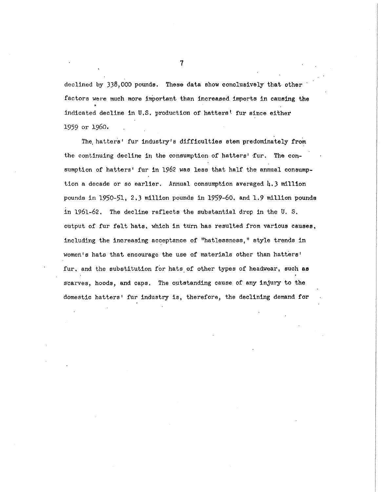declined by 338,000 pounds. These data show conclusively that other factors were much more important than increased imports in causing the indicated decline in U.S. production of hatters' fur since either **1959** or **i960.** 

The hatters' fur industry's difficulties stem predominately from the continuing decline in the consumption of hatters' fur. The consumption of hatters' fur in 1962 was less that half the annual consumption a decade or so earlier. Annual consumption averaged  $\mu$ , 3 million pounds in 1950-51, 2.3 million pounds in 1959-60, and 1.9 million pounds in 1961-62. The decline reflects the substantial drop in the U.S. output of fur felt hats, which in turn has resulted from various causes, including the increasing acceptance of "hatlessness," style trends in women's hats that encourage the use of materials other than hatters' fur, and the substitution for hats of other types of headwear, such as scarves, hoods, and caps. The outstanding cause of any injury to the domestic hatters' fur industry is, therefore, the declining demand for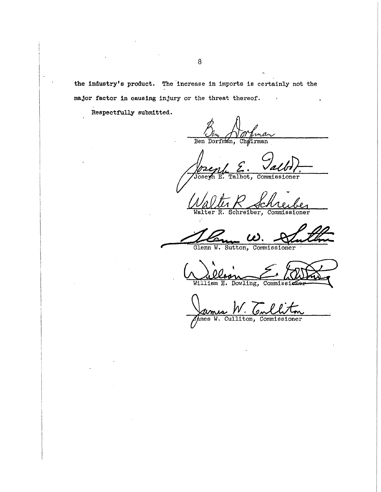the industry's product. The increase in imports is certainly not the major factor in causing injury or the threat thereof.

Respectfully submitted.

Ben Dorfman, Chairman

Oseph E. Commissioner Talbot,

Schreiber, Commissioner

Walter  $\overline{R}$ .

Glenn W. Sutton, Commissioner

Commiss: William E. Dowling,

Culliton, Commissioner  $A$ mes  $W$ .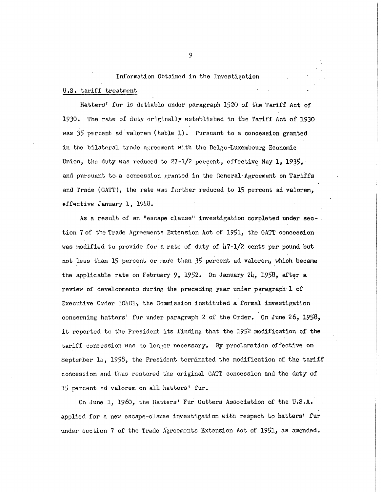Information Obtained in the Investigation U.S. tariff treatment

Hatters' fur is dutiable under paragraph 1520 of the Tariff Act of 1930. The rate of duty originally established in the Tariff Act of 1930 was 35 percent ad valorem (table 1). Pursuant to a concession granted in the bilateral trade agreement with the Belgo-Luxembourg Economic Union, the duty was reduced to 27-1/2 percent, effective May 1, 1935, and pursuant to a concession granted in the General Agreement on Tariffs and Trade (GATT), the rate was further reduced to 15 percent ad valorem, effective January 1, 1948.

As a result of an "escape clause" investigation completed under section 7 of the Trade Agreements Extension Act of 1951, the GATT concession was modified to provide for a rate of duty of  $\frac{17-1}{2}$  cents per pound but not less than **15** percent or more than **35** percent ad valorem, which became the applicable rate on February 9, 1952. On January 24, 1958, after a review of developments during the preceding year under paragraph 1 of Executive Order 10h01, the Commission instituted a formal investigation concerning hatters' fur under paragraph 2 of the Order. On June 26, 1958, it reported to the President its finding that the 1952 modification of the tariff concession was no longer necessary. By proclamation effective on September 14, 1958, the President terminated the modification of the tariff concession and thus restored the original GATT concession and the duty of 15 percent ad valorem on all hatters' fur.

On June 1, I960, the Hatters' Fur Cutters Association of the U.S.A. applied for a new escape-clause investigation with respect to hatters' fur under section 7 of the Trade Agreements Extension Act of 1951, as amended.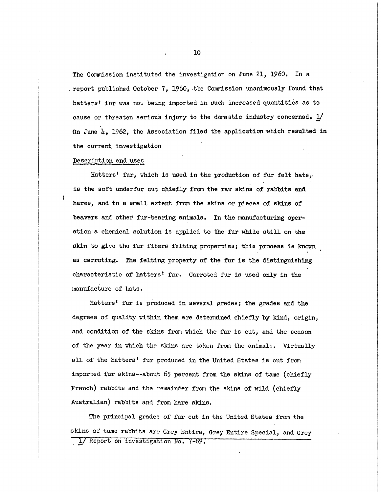The Commission instituted the investigation on June 21, 1960. In a report published October 7, 1960, the Commission unanimously found that hatters' fur was not being imported in such increased quantities as to cause or threaten serious injury to the domestic industry concerned.  $1/$ On June  $\mu$ , 1962, the Association filed the application which resulted in the current investigation

#### Description and uses

Hatters' fur, which is used in the production of fur felt hats, is the soft underfur cut chiefly from the raw skins of rabbits and hares, and to a small extent from the skins or pieces of skins of beavers and other fur-bearing animals. In the manufacturing operation a chemical solution is applied to the fur while still on the skin to give the fur fibers felting properties; this process is known as carroting. The felting property of the fur is the distinguishing characteristic of hatters' fur. Carroted fur is used only in the manufacture of hats.

Hatters' fur is produced in several grades; the grades and the degrees of quality within them are determined chiefly by kind, origin, and condition of the skins from which the fur is cut, and the season of the year in which the skins are taken from the animals. Virtually all of the hatters' fur produced in the United States is cut from imported fur skins--about 65 percent from the skins of tame (chiefly French) rabbits and the remainder from the skins of wild (chiefly Australian) rabbits and from hare skins.

The principal grades of fur cut in the United States from the skins of tame rabbits are Grey Entire, Grey Entire Special, and Grey 1/ Report on investigation No. 7-89.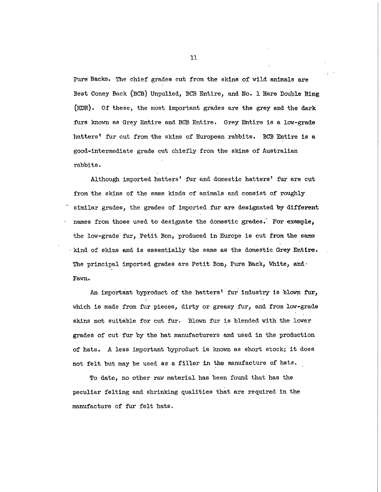Pure Backs. The chief grades cut from the skins of wild animals are Best Coney Back (BCB) Unpulled, BCB Entire , and No. **1** Hare Double King **(HDR) .** Of these, the most important grades are the grey and the dark furs known as Grey Entire and BCB Entire. Grey Entire is a low-grade hatters' fur cut from the skins of European rabbits. BCB Entire is a good-intermediate grade cut chiefly from the skins of Australian rabbits .

Although imported hatters' fur and domestic hatters' fur are cut from the skins of the same kinds of animals and consist of roughly similar grades, the grades of imported fur are designated by different names from those used to designate the domestic grades. For example, the low-grade fur, Petit Bon, produced in Europe is cut from the same kind of skins and is essentially the same as the domestic Grey Entire. The principal imported grades are Petit Bon, Pure Back, White, and. Fawn.

An important byproduct of the hatters' fur industry is blown fur, which is made from fur pieces, dirty or greasy fur, and from low-grade skins not suitable for cut fur. Blown fur is blended with the lower grades of cut fur by the hat manufacturers and used in the production of hats. A less important byproduct is known as short stock; it does not felt but may be used as a filler in the manufacture of hats,

To date, no other raw material has been found that has the peculiar felting and shrinking qualities that are required in the manufacture of fur felt hats.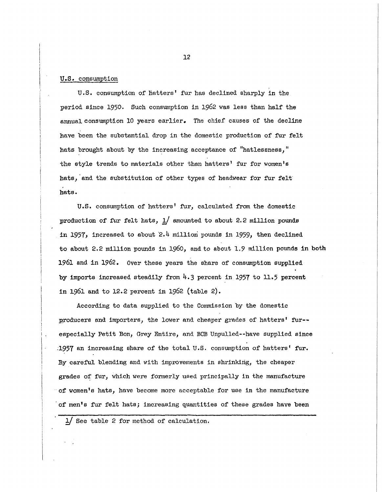### U.S. consumption

U.S. consumption of hatters' fur has declined sharply in the period since 1950. Such consumption in 1962 was less than half the annual consumption 10 years earlier. The chief causes of the decline have been the substantial drop in the domestic production of fur felt hats brought about by the increasing acceptance of "hatlessness," the style trends to materials other than hatters' fur for women's hats, and the substitution of other types of headwear for fur felt hats .

U.S. consumption of hatters' fur, calculated from the domestic production of fur felt hats,  $1/$  amounted to about 2.2 million pounds in 1957, increased to about 2.4 million pounds in 1959, then declined to about 2.2 million pounds in 1960, and to about 1.9 million pounds in both **1961 and in 1962.** Over these years the share of consumption supplied by imports increased steadily from  $4.3$  percent in 1957 to 11.5 percent in 1961 and to 12.2 percent in 1962 (table 2).

According to data supplied to the Commission by the domestic producers and importers, the lower and cheaper grades of hatters' fur-especially Petit Bon, Grey Entire, and BCB Unpulled--have supplied since 1957 an increasing share of the total U.S. consumption of hatters' fur. By careful blending and with improvements in shrinking, the cheaper grades of fur, which were formerly used principally in the manufacture  $\circ$  of women's hats, have become more acceptable for use in the manufacture of men's fur felt hats; increasing quantities of these grades have been

1/ See table 2 for method of calculation.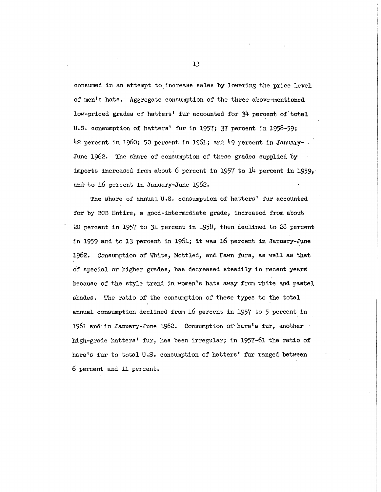consumed in an attempt to increase sales by lowering the price level of men's hats. Aggregate consumption of the three above-mentioned low-priced grades of hatters' fur accounted for 3<sup>4</sup> percent of total U.S. consumption of hatters' fur in 1957; 37 percent in 1958-59; 42 percent in 1960; 50 percent in 1961; and 49 percent in January-June 1962. The share of consumption of these grades supplied by imports increased from about 6 percent in 1957 to  $14$  percent in 1959, and to 16 percent in January-June 1962.

The share of annual U.S. consumption of hatters' fur accounted for by BCB Entire, a good-intermediate grade, increased from about 20 percent in 1957 to 31 percent in 1958, then declined to 28 percent in 1959 and to 13 percent in 1961; it was 16 percent in January-June 1962. Consumption of White, Mottled, and Fawn furs, as well as that of special or higher grades, has decreased steadily in recent years because of the style trend in women's hats away from white and pastel shades. The ratio of the consumption of these types to the total annual consumption declined from 16 percent in 1957 to 5 percent in 1961 and in January-June 1962. Consumption of hare's fur, another high-grade hatters' fur, has been irregular; in 1957-61 the ratio of hare's fur to total U.S. consumption of hatters' fur ranged between **6** percent and **11** percent.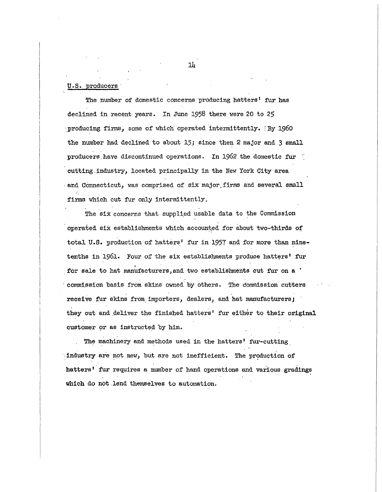#### U.S. producers

The number of domestic concerns producing hatters' fur has declined in recent years. In June 1958 there were 20 to 25 producing firms, some of which operated intermittently. :By 1960 the number had declined to about 15; since then 2 major and 3 small producers have discontinued operations. In 1962 the domestic fur cutting industry, located principally in the New York City area and Connecticut, was comprised of six major firms and several small firms which cut fur only intermittently.

The six concerns that supplied usable data to the Commission operated six establishments which accounted for about two-thirds of total U.S. production of hatters' fur in 1957 and for more than ninetenths in 1961. Four of the six establishments produce hatters' fur for sale to hat manufacturers, and two establishments cut fur on a ' commission basis from skins owned by others. The dommission cutters receive fur skins from importers, dealers, and hat manufacturers; they cut and deliver the finished hatters' fur either to their original customer or as instructed by him.

The machinery and methods used in the hatters' fur-cutting Industry are not new, but are not inefficient. The production of hatters' fur requires a number of hand operations and various gradings which do not lend themselves to automation.

Hi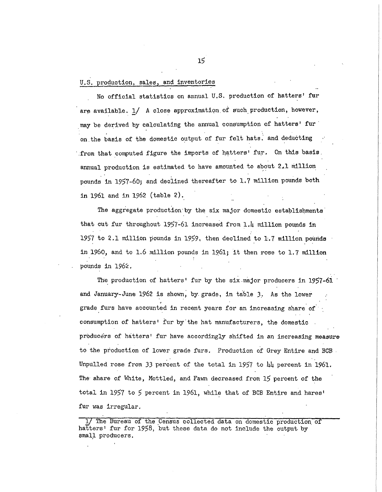### U.S. production, sales, and inventories

No official statistics on annual U.S. production of hatters' fur are available. 1/ A close approximation of such production, however, may be derived by calculating the annual consumption of hatters' fur on the basis of the domestic output of fur felt hats, and deducting .from that computed figure the imports of hatters' fur. On this basis, annual production is estimated to have amounted to about 2.1 million pounds in 1957-60; and declined thereafter to 1.7 million pounds both in 1961 and in 1962 (table 2).

The aggregate production by the six major domestic establishments that cut fur throughout 1957-61 increased from 1.4 million pounds in 1957 to 2.1 million pounds in 1959, then declined to 1.7 million pounds in 1960, and to 1.6 million pounds in 1961; it then rose to 1.7 million pounds in 1962.

The production of hatters' fur by the six major producers in 1957-61 and January-June 1962 is shown, by grade, in table 3. As the lower grade furs have accounted in recent years for an increasing share of consumption of hatters' fur by the hat manufacturers, the domestic producers of hatters' fur have accordingly shifted in an increasing measure to the production of lower grade furs. Production of Grey Entire and BCB. Unpulled rose from 33 percent of the total in 1957 to  $\mu\mu$  percent in 1961. The- share of White, Mottled, and Fawn decreased from **15** percent of the total in 1957 to 5 percent in 1961, while that of BCB Entire and hares' fur was irregular.

The Bureau of the Census collected data on domestic production of hatters' fur for 1958, but these data do not include the output by small producers.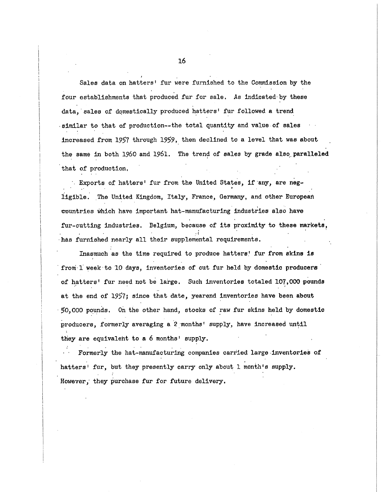Sales data on hatters' fur were furnished to the Commission by the four establishments that produced fur for sale. As indicated by these data, sales of domestically produced hatters' fur followed a trend ·similar to that of production--the total quantity and value of sales increased from 1957 through 1959, then declined to a level that was about the same in both 1960 and 1961. The trend of sales by grade also paralleled that of production,

Exports of hatters' fur from the United States, if any, are negiigible . The United Kingdom, Italy , France, Germany, and other European countries which have important hat-manufacturing industries also have fur-cutting industries. Belgium, because of its proximity to these markets, has furnished nearly all their supplemental requirements.

Inasmuch as the time required to produce hatters! fur from skins is from 1 week to 10 days, inventories of cut fur held by domestic producers of hatters' fur need not be large. Such inventories totaled 107,000 pounds at the end of 1957; since that date, yearend inventories have been about 50,000 pounds. On the other hand, stocks of raw fur skins held by domestic producers, formerly averaging a 2 months' supply, have increased until they are equivalent to a 6 months' supply.

Formerly the hat-manufacturing companies carried large inventories of hatters' fur, but they presently carry only about 1 month's supply. However, they purchase fur for future delivery.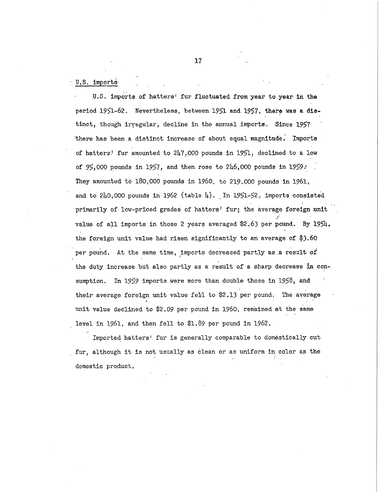U.S. Imports

U.S. imports of hatters' fur fluctuated from year to year in the period **1951-62.** Nevertheless, between **1951** and **1957,** there was a dis tinct, though irregular, decline in the annual imports. Since 1957 there has been a distinct increase of about equal magnitude. Imports of hatters! fur amounted to  $247,000$  pounds in 1951, declined to a low of 95,000 pounds in 1957, and then rose to 246,000 pounds in 1959. They amounted to 180,000 pounds in 1960, to 219,000 pounds in 1961, and to 240,000 pounds in 1962 (table 4). In 1951-52, imports consisted primarily of low-priced grades of hatters' fur; the average foreign unit value of all imports in those 2 years averaged \$2.63 per pound. By 1954, value of al l Imports i n those **2** years averaged **\$2**.63 per pound. By 195U, the foreig n uni t value had rise n significantl y t o an average of **\$3.60**  per pound. At the same time, imports decreased partl y as.a resul t o f sumption. I n 1959 imports were more than double those i n **1958,** arid thei r average foreig n uni t value fel l t o **\$2.13** per pound. The average uni t value declined t o **\$2.09** per pound l n **I960,** remained a t the same

leve l l n **1961,** and then fel l t o **\$1.89** per pound i n **1962.**  fur, although it is not usually as clean or as uniform in color as the furthermore, although it is not usuall y as clean or as  $\alpha$  as clean or as  $\alpha$  as the color as the color as the color as the color as the color as the color as the color as the color as the color as the color as the col domestic product.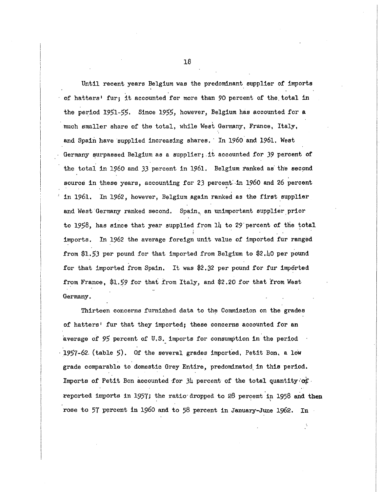Until recent years Belgium was the predominant supplier of imports of hatters' fur; it accounted for more than 90 percent of the total in the period  $1951-55$ . Since  $1955$ , however, Belgium has accounted for a much smaller share of the total, while West Germany, France, Italy. and Spain have supplied increasing shares. In 1960 and 1961. West Germany surpassed Belgium as a supplier; it accounted for 39 percent of the total in 1960 and 33 percent in 1961. Belgium ranked as the second source in these years, accounting for 23 percent in 1960 and 26 percent in 1961. In 1962, however, Belgium again ranked as the first supplier and West Germany ranked second. Spain, an unimportant supplier prior to 1958, has since that year supplied from  $1\mu$  to 29 percent of the total imports. In 1962 the average foreign unit value of imported fur ranged from \$1.53 per pound for that imported from Belgium to \$2.40 per pound for that imported from Spain. It was  $$2.32$  per pound for fur imported from France, \$1.59 for that from Italy, and \$2.20 for that from West Germany.

Thirteen concerns furnished data to the Commission on the grades of hatters' fur that they imported; these concerns accounted for an average of 95 percent of U.S. imports for consumption in the period 1957-62. (table  $5$ ). Of the several grades imported, Petit Bon, a low grade comparable to domestic Grey Entire, predominated in this period. Imports of Petit Bon accounted for  $3\mu$  percent of the total quantity of reported imports in 1957; the ratio-dropped to 28 percent in 1958 and then rose to 57 percent in 1960 and to 58 percent in January-June 1962. In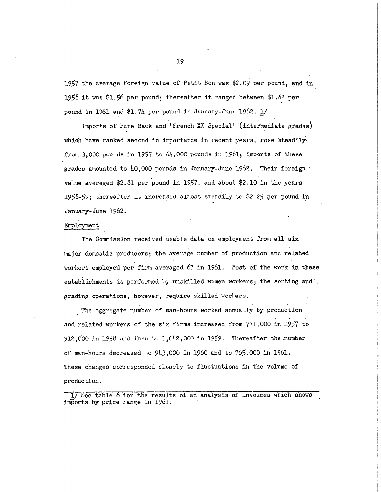1957 the average foreign value of Petit Bon was \$2.09 per pound, and in **1958** it was \$1.56 per pound; thereafter it ranged between \$1.62 per. pound in 1961 and  $$1.7\mu$  per pound in January-June 1962.  $1/$ 

Imports of Pure Back and "French XX Special" (intermediate grades) which have ranked second in importance in recent years, rose steadilyfrom 3,000 pounds in 1957 to  $64,000$  pounds in 1961; imports of these grades amounted to  $\mu$ 0,000 pounds in January-June 1962. Their foreign value averaged \$2.81 per pound in 1957, and about \$2.10 in the years 1958-59; thereafter it increased almost steadily to \$2.25 per pound in January-June 1962.

## Employment

The Commission received usable data on employment from all six major domestic producers; the average number of production and related workers employed per firm averaged 67 in 1961. Most of the work in these establishments is performed by unskilled women workers; the sorting and', grading operations, however, require skilled workers.

The aggregate number of man-hours worked annually by production and related workers of the six firms increased from 771,000 in 1957 to 912,000 in 1958 and then to 1,042,000 in 1959. Thereafter the number of man-hours decreased to  $9\mu3,000$  in 1960 and to  $765,000$  in 1961. These changes corresponded closely to fluctuations in the volume of production,

1/ See table 6 for the results of an analysis of invoices which shows imports by price range in 1961.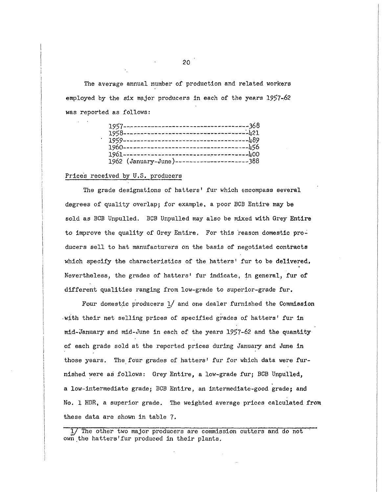The average annual number of production and related workers employed by the six major producers in each of the years 1957-62 was reported as follows :

| 1962 (January-June)---------------------388 |
|---------------------------------------------|

#### Prices received by U.S. producers

The grade designations of hatters' fur which encompass several degrees of quality overlap; for example, a poor BCB Entire may be sold as BCB Unpulled. BCB Unpulled may also be mixed with Grey Entire to improve the quality of Grey Entire. For this reason domestic producers sell to hat manufacturers on the basis of negotiated contracts which specify the characteristics of the hatters' fur to be delivered. Nevertheless, the grades of hatters' fur indicate, in general, fur of different qualities ranging from low-grade to superior-grade fur.

Four domestic producers  $1/$  and one dealer furnished the Commission with their net selling prices of specified grades of hatters' fur in mid-January and mid-June in each of the years 1957-62 and the quantity of each grade sold at the reported prices during January and June in those years. The four grades of hatters' fur for which data were furnished were as follows: Grey Entire, a low-grade fur; BCB Unpulled, a low-intermediate grade; BCB Entire , an intermediate-good grade; and No. 1 HDR, a superior grade. The weighted average prices calculated from these data are shown in table  $7.$ 

1/ The other two major producers are commission cutters and do not own the hatters' fur produced in their plants.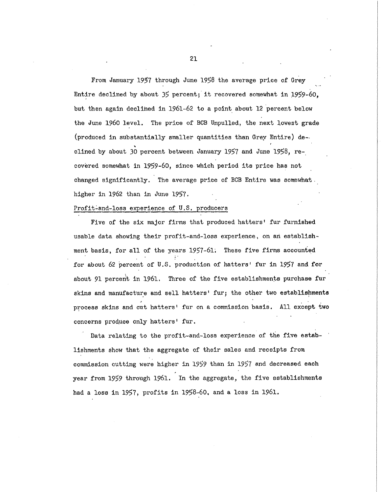From January 1957 through June 1958 the average price of Grey Entire declined by about 35 percent; it recovered somewhat in 1959-60. but then again declined in 1961-62 to a point about 12 percent below the June 1960 level. The price of BCB Unpulled, the next lowest grade (produced in substantially smaller quantities than Grey Entire) de $$ cline d by about **30** percent between January **1957** and June **1958,** re covered somewhat in 1959-60, since which period its price has not changed significantly. The average price of BCB Entire was somewhat. higher in 1962 than in June 1957.

#### Profit-and-loss experience of U.S. producers

Five of the six major firms that produced hatters' fur furnished usable data showing their profit-and-loss experience, on an establishment basis, for all of the years 1957-61. These five firms accounted for about 62 percent of U.S. production of hatters' fur in 1957 and for about 91 percent in 1961. Three of the five establishments purchase fur skins and manufacture and sell hatters' fur; the other two establishments process skins and cut hatters' fur on a commission basis. All except two concerns produce only hatters' fur.

Data relating to the profit-and-loss experience of the five establishments show that the aggregate of their sales and receipts from commission cutting were higher in 1959 than in 1957 and decreased each year from 1959 through 1961. In the aggregate, the five establishments had a loss in 1957, profits in 1958-60, and a loss in 1961.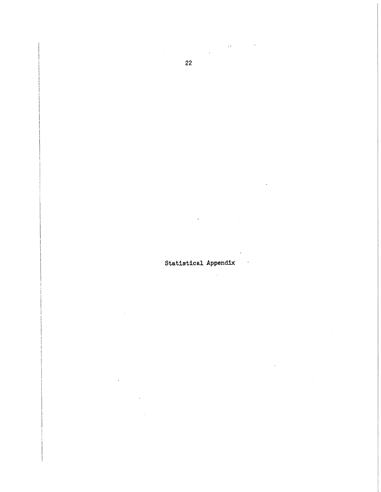Statistical Appendix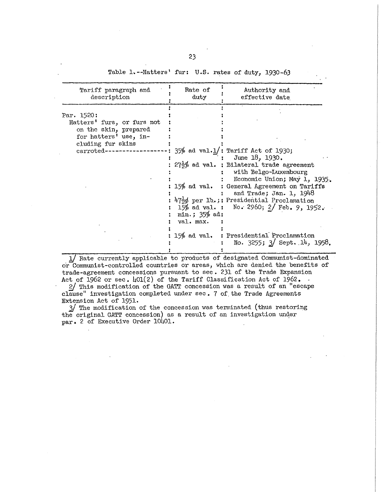### Table 1.--Hatters' fur: U.S. rates of duty, 1930-63

| Tariff paragraph and<br>description                                                                                             | Rate of<br>duty              | Authority and<br>effective date                                                                                                                                                                                                                                                                                                            |
|---------------------------------------------------------------------------------------------------------------------------------|------------------------------|--------------------------------------------------------------------------------------------------------------------------------------------------------------------------------------------------------------------------------------------------------------------------------------------------------------------------------------------|
| Par. 1520:<br>Hatters' furs, or furs not<br>on the skin, prepared<br>for hatters' use, in-<br>cluding fur skins<br>carroted---- | min.; $35%$ ad:<br>val. max. | $35\%$ ad val.1/: Tariff Act of 1930;<br>June 18, 1930.<br>$27\frac{1}{2}\%$ ad val. : Bilateral trade agreement<br>with Belgo-Luxembourg<br>Economic Union; May 1, 1935.<br>15% ad val. : General Agreement on Tariffs<br>and Trade; Jan. 1, 1948<br>47td per 1b.;: Presidential Proclamation<br>15% ad val. : No. 2960; 2/ Feb. 9, 1952. |
|                                                                                                                                 |                              | 15% ad val. : Presidential Proclamation<br>No. 3255; 3/ Sept. 14, 1958.                                                                                                                                                                                                                                                                    |

1/ Rate currently applicable to products of designated Communist-dominated or Communist-controlled countries or areas, which are denied the benefits of trade-agreement concessions pursuant to sec. 231 of the Trade Expansion Act of 1962 or sec.  $\text{L}01(2)$  of the Tariff Classification Act of 1962.

2/ This modification of the GATT concession was a result of an "escape clause" investigation completed under sec. 7 of the Trade Agreements Extension Act of 1951.

3<sup>/</sup> The modification of the concession was terminated (thus restoring the original GATT concession) as a result of an investigation under par. 2 of Executive Order 10401.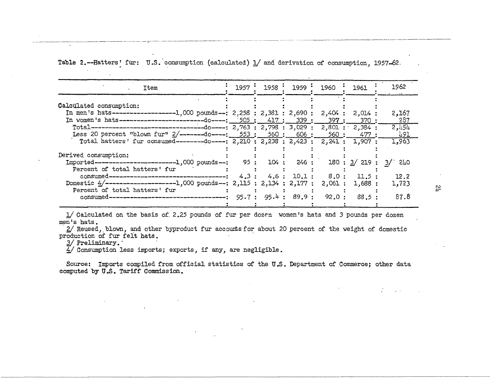|  |  |  |  | Table 2.--Hatters' fur: U.S. consumption (calculated) 1/ and derivation of consumption, 1957-62. |  |
|--|--|--|--|--------------------------------------------------------------------------------------------------|--|
|  |  |  |  |                                                                                                  |  |

| Item                                                                                      |  | $1957 \cdot 1958 \cdot 1959 \cdot$ | 1960   | 1961              | 1962       |
|-------------------------------------------------------------------------------------------|--|------------------------------------|--------|-------------------|------------|
| Calculated consumption:                                                                   |  |                                    |        |                   |            |
| In men's hats---------------------1,000 pounds--: 2,258 : 2,381 : 2,690 : 2,404 : 2,014 : |  |                                    |        |                   | 2,167      |
|                                                                                           |  |                                    |        |                   | 287        |
|                                                                                           |  |                                    |        |                   | 2,151      |
| Less 20 percent "blown fur" $2$ /--------do----: 553: 560: 606: 560: 477:                 |  |                                    |        |                   | <b>491</b> |
| Total hatters' fur consumed---------do----: 2,210 : 2,238 : 2,423 : 2,241 : 1,907 :       |  |                                    |        |                   | 1,963      |
| Derived consumption:                                                                      |  |                                    |        |                   |            |
| $Imported------------------------1,000 pounds--: 95 : 104 : 246 :$                        |  |                                    |        | 180 : 3/219 : 3/7 | - 270      |
| Percent of total hatters' fur                                                             |  |                                    |        |                   |            |
|                                                                                           |  | 4.3: 4.6: 10.1:                    |        | 8.0: 11.5:        | 12.2       |
| Domestic $4/-$ ----------------------1,000 pounds--: 2,115 : 2,134 : 2,177 :              |  |                                    | 2,061: | 1,688:            | 1,723      |
| Percent of total hatters' fur                                                             |  | $-95.4: 89.9:$                     | 92.0:  | 88.5:             | 87.8       |
|                                                                                           |  |                                    |        |                   |            |

1/ Calculated on the basis of 2.25 pounds of fur per dozen women's hats and 3 pounds per dozen men's hats.

2/ Reused, blown, and other byproduct fur accounts for about 20 percent of the weight of domestic production of fur felt hats.

3/ Preliminary.

 $\ddot{\phantom{a}}$ 

 $\sim$ 

4/ Consumption less imports; exports, if any, are negligible.

Source: Imports compiled from official statistics of the U.S. Department of Commerce; other data computed by U.S. Tariff Commission.

 $\overline{\mathcal{L}}$ 

 $\sim 100$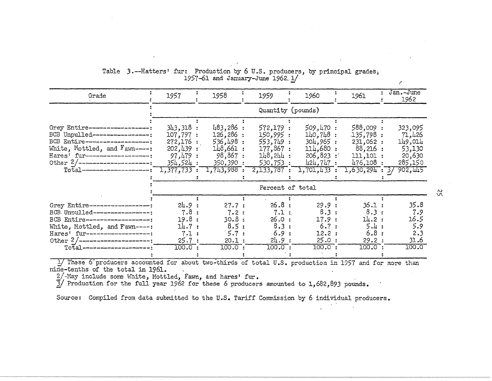| Grade                                                                                                                                                                                                                                          | 1957                                                                               | 1958                                                                                    | 1959                                                                               | 1960                                                                                  | 1961                                                                                  | Jan.-June<br>1962                                                             |
|------------------------------------------------------------------------------------------------------------------------------------------------------------------------------------------------------------------------------------------------|------------------------------------------------------------------------------------|-----------------------------------------------------------------------------------------|------------------------------------------------------------------------------------|---------------------------------------------------------------------------------------|---------------------------------------------------------------------------------------|-------------------------------------------------------------------------------|
|                                                                                                                                                                                                                                                |                                                                                    |                                                                                         |                                                                                    | Quantity (pounds)                                                                     |                                                                                       |                                                                               |
| Grey Entire-------------------<br>BCB Unpulled------------------:<br>BCB Entire--------------------;<br>White, Mottled, and Fawn-----<br>Hares' fur--------------------<br>Other $2/$ -----------------------<br>$Total$ --------------------- | 343,318:<br>107,797:<br>272,176:<br>202, 439:<br>97,479:<br>354,524:<br>1,377,733: | 483,286:<br>126,286:<br>536,498:<br>$148,661$ :<br>98,867:<br>350,390:<br>$1,743,988$ : | 572,179:<br>150,995:<br>553,749:<br>177,867:<br>148.244:<br>530,753:<br>2,133,787: | 509,470:<br>$140,748$ :<br>304,965:<br>114,680:<br>206,823:<br>424,747:<br>1,701,433: | 588,009 :<br>.135,798:<br>231,062:<br>88,216:<br>111,101:<br>476,108:<br>1,630,294:37 | 323,095<br>71,426<br>149,014<br>53,130<br>20,630<br>285,150<br><b>902,445</b> |
|                                                                                                                                                                                                                                                |                                                                                    |                                                                                         | Percent of total                                                                   |                                                                                       |                                                                                       |                                                                               |
| Grey Entire------------------<br>BCB. Unoulled------------------;<br>BCB Entire-------------------<br>White, Mottled, and F'awn----:<br>Hares' fur---------------------<br>Other $2/$ ----------------------<br>Total----------------------:   | 24.9:<br>$7.8$ :<br>19.8:<br>14.7:<br>7.1:<br>25.7:<br>$100.0$ :                   | 27.7:<br>7.2:<br>30.8:<br>8.5:<br>5.7:<br>20.1:<br>$100.0$ :                            | 26.8:<br>7.1:<br>26.0:<br>8.3:<br>6.9:<br>24.9:<br>$100.0$ :                       | 29.9:<br>8.3:<br>17.9:<br>6.7:<br>12.2:<br>25.0:<br>$100.0$ :                         | 36.1:<br>8.3:<br>14.2:<br>5.4:<br>6.8:<br>29.2:<br>100.0:                             | 35.8<br>7.9<br>16.5<br>5.9<br>2.3<br>31.6<br><u>100.0</u>                     |

## Table 3.--Hatters' fur: Production by 6 U.S. producers, by principal grades, 1957-61 and January-June 1962.1/

1/ These 6 producers accounted for about two-thirds of total U.S. production in 1957 and for more than nine-tenths of the total in 1961.

2/-May include some White, Mottled, Fawn, and hares' fur.<br>3/-May include some White, Mottled, Fawn, and hares' fur.<br>3/ Production for the full year 1962 for these 6 producers amounted to 1,682,893 pounds.

Source: Compiled from data submitted to the U.S. Tariff Commission by 6 individual producers.

- 22

 $\epsilon$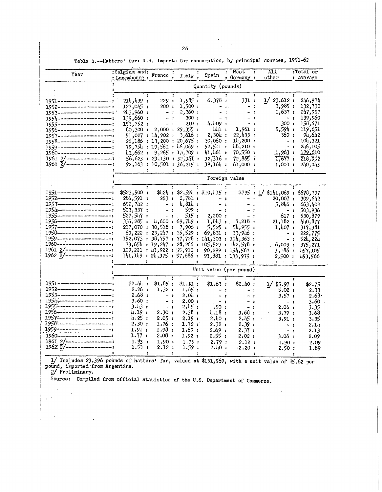|                                                              | :Belgium and:                 |                   |                                        |                                         | West<br>$\ddot{\phantom{a}}$                     | A11.<br>÷                        | :Total or       |
|--------------------------------------------------------------|-------------------------------|-------------------|----------------------------------------|-----------------------------------------|--------------------------------------------------|----------------------------------|-----------------|
| Year                                                         | : Luxembourg :                | France :          | Italy $,$                              | Spain                                   | : Germany :                                      | other                            | : average       |
|                                                              |                               |                   |                                        | Quantity (pounds)                       |                                                  |                                  |                 |
|                                                              |                               |                   |                                        |                                         |                                                  |                                  |                 |
|                                                              | ÷                             |                   | $\ddot{\bm{z}}$                        |                                         | $\ddot{\phantom{a}}$                             | $\mathbf{r}$                     |                 |
| 1951----------------------                                   | 214, 439:                     | 229:              | 1,985:                                 | 6,378:                                  | 331 :                                            | 1/23,612:                        | 246,974         |
| 1952---------------------                                    | 127,045 :                     | 200:              | 1,500:                                 | $-1.$                                   | - :                                              | 3,985:                           | 132,730         |
| 1953----------------------                                   | 243,960:                      | - 1               | 2,360:                                 |                                         | - :<br>÷                                         | 1,637 :                          | 247,957         |
| 1954----------------------                                   | 139,660:                      | $-1$              | 300 :                                  | - :                                     | - :                                              | - :                              | 139,960         |
| 1955----------------------                                   | 153,752:                      | $-1$              | 210 :                                  | 4,409:                                  |                                                  | 300 ·                            | 158,671         |
| 1956----------------------                                   |                               |                   | 80,300 : 2,000 : 29,355 :              | նև1 ։                                   | 1,961 :                                          | 5,594;                           | 119,651         |
| 1957---------------------                                    |                               | 51,027 : 14,902 : | 3,616 :                                | 2,304:                                  | 22,433:                                          | 360 :                            | 642, با9        |
| 1958-------------- <b>-------</b> -                          |                               |                   | 26,186:13,200:20,675:                  | 30,060:                                 | $14,200$ :                                       | $-$ :                            | 104,321         |
| 1959----------------------                                   |                               |                   | 79,754 : 19,561 : 46,069 :             | 52,511:                                 | 48,210:                                          | $-1$                             | 246,105         |
| 1960---------------------                                    |                               |                   | h1,662 : 9,265 : 1h,709 :              | 41,461:                                 | 70,550:                                          | <u>1,963 :</u>                   | <u>179,61</u> 0 |
| $1961$ 2/------------------:                                 |                               |                   | 56,623 : 23,130 : 32,341 :             | 32.316:                                 | $72,86$ ;                                        | 1.677:                           | 218,952         |
| $1962$ $\frac{7}{2}$ /------------------                     |                               |                   | 92,163 : 10,501 : 36,215 :             | 39,164:                                 | 61,000:                                          | 1,000:                           | 240,043         |
|                                                              |                               |                   | ٤.                                     |                                         | :                                                | ÷<br>Ŧ.                          |                 |
|                                                              |                               |                   |                                        |                                         | Foreign value                                    |                                  |                 |
|                                                              | Ŧ.                            |                   | $\ddot{\cdot}$<br>$\ddot{\phantom{a}}$ |                                         | ÷                                                |                                  |                 |
| 1951-----------------------                                  | \$523,500:                    |                   |                                        | \$424 : \$2,594 : \$10,415 :            |                                                  | \$795 : 1/ \$141,069 : \$678,797 |                 |
| 1952-----------------------                                  | 286,591:                      | 263:              | 2,781 :                                | $-2$                                    | . .<br>$\blacksquare$                            | 20,007:                          | 309,642         |
| 1953 <del></del>                                             | 652,742:                      | $-1$              | $4,814$ :                              | $\qquad \qquad \blacksquare$<br>$\cdot$ |                                                  | 5,846:                           | 663,402         |
| 1954--------------------                                     | 503,337:                      | $-1$              | 599:                                   | $\cdot$                                 | - 1                                              | $-1$                             | 503,936         |
| 1955----------------------                                   | 527,547:                      | $-1$              | 515 :                                  | 2,200:                                  | - 1                                              | 617 t                            | 530,879         |
| 1956---------------------                                    | 336,285:                      |                   | 4,600:69,749:                          | 1,843:                                  | 7,218 :                                          | 21,182 :                         | Щ0,877          |
| 1957----------------------                                   | 217,070 : 30,518 :            |                   | 7,906:                                 | 5,525:                                  | 54.955:                                          | 1,407:                           | 317,381         |
| 1958----------------------                                   |                               |                   | 60, 222 : 23, 247 : 35, 529 :          | 69,831;                                 | 33.946:                                          | $-2$                             | 222,775         |
| 1959----------------------                                   |                               |                   |                                        |                                         | $152,073:38,757:77,728:111,303:111,363:$         | $-1$                             | 524,224         |
| 1960----------------------<br>$1961$ $2/-$ ----------------- |                               |                   |                                        |                                         | $73,654 : 19,247 : 28,266 : 105,523 : 142,578 :$ | .6,003:                          | 375,271         |
|                                                              | 109,221 : 43,922 : 55,910 :   |                   |                                        |                                         | 90,299 : 154,567 :                               | 3,186 :                          | 457,105         |
|                                                              | 141, 149 : 24, 375 : 57,686 : |                   |                                        |                                         | 93,881 : 133,975 :                               | 2,500:                           | 453,566         |
|                                                              |                               |                   | ÷                                      | :                                       |                                                  | <b>Contract Contract</b>         |                 |
|                                                              |                               |                   |                                        |                                         | Unit value (per pound)                           |                                  |                 |
| 1951----------------------                                   | Ť<br>\$2.44:                  | \$1.85:           | ÷<br>$\mathbf{r}$                      |                                         |                                                  |                                  |                 |
| 1952----------------------                                   | 2.26:                         | 1.32:             | $\S1.31:$<br>$.1.85$ :                 | \$1.63:                                 | \$2.40:                                          | $1/$ \$5.97 :                    | \$2.75          |
| 1953---------------------                                    | 2.68 :                        | $-$ :             | 2.04 :                                 | - :                                     | - 1                                              | 5.02:                            | 2.33            |
| 195 <u>1</u> :-----------------------                        | 3.60:                         |                   | 2.00:                                  | $\cdot$<br>$\rightarrow$                | $\cdot$                                          | 3.57:                            | 2.68 $\cdot$    |
| 1955 <del>----------------------</del>                       | 3.43 :                        | - 1<br>$-1$       | 2, 45:                                 | - :                                     | - :<br>$-1$                                      | - :                              | 3.60            |
| 1956 <del>:</del> ------------------------                   | 4.19 :                        | 2.30:             | 2.38:                                  | : 50،<br>4.18 :                         | 3.68 :                                           | 2.06 :                           | 3.35            |
| 1957-----------------------                                  | 4.25:                         | 2.05:             | 2.19:                                  | 2.40:                                   | 2.45:                                            | 3.79:                            | 3.68            |
| 1958----------------------                                   | 2.30:                         | 1.76:             | 1.72:                                  |                                         |                                                  | 3.91 :                           | 3.35            |
|                                                              | 1.91:                         | 1.98:             | 1.69;                                  | 2.32:<br>2.69:                          | 2.39;<br>2.37:                                   | $-$ :                            | 2.14            |
| 1959----------------------<br>1960---------------------      | 1.77:                         | 2.08:             | 1.92:                                  |                                         |                                                  | $-1$                             | 2.13            |
| $1961$ 2/------------------                                  |                               |                   |                                        | 2.55:                                   | 2.02:                                            | 3.06:                            | 2.09            |
| $1962: \overline{2}/--------------------}$                   | 1.93:<br>1.53:                | 1.90:<br>2.32:    | 1.73:<br>1.59:                         | 2.79:                                   | 2.12:                                            | 1.90f                            | 2.09            |
|                                                              |                               |                   |                                        | 2.40 i                                  | $-2.20$ :                                        | 2.50 :                           | 1.89            |

Table 4.--Hatters' fur: U.S. imports for consumption, by principal sources, 1951-62

1/ Includes 23,396 pounds of hatters' fur, valued at \$131,569, with a unit value of \$5.62 per<br>pound, imported from Argentina.<br>2/ Preliminary.<br>Source: Compiled from official statistics of the U.S. Department of Commerce.

 $\mathcal{L}^{\mathcal{L}}$  .

 $\ddot{\phantom{a}}$ 

 $\mathbf{r}$ 

 $\pmb{\cdot}$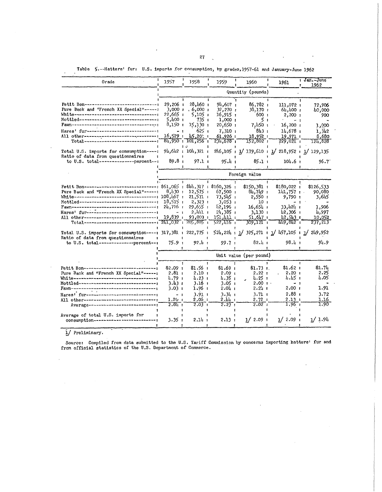### Table 5 .-- Hatters' fur: U.S. imports for consumption, by grades, 1957-61 and January-June 1962

 $\cdot$ 

| Orade                                                                                                                                                              | 1.957                               | 1958                                      | 1959                               | 1960                            | 1961                                                                       | i Jan. June<br>1962<br>٠     |
|--------------------------------------------------------------------------------------------------------------------------------------------------------------------|-------------------------------------|-------------------------------------------|------------------------------------|---------------------------------|----------------------------------------------------------------------------|------------------------------|
|                                                                                                                                                                    |                                     |                                           |                                    | Quantity (pounds)               |                                                                            |                              |
| Pet1t Bon---------------------------------<br>Pure Back and "French XX Special"-----:<br>Mottled----------------------------                                       | 29,206:<br>$3,000$ $\mu$<br>22,665: | 28, h60:<br>$.6,000$ ;<br>5,105,1         | 94,607:<br>32,270:<br>16,915:      | 86,782,1<br>30,170:<br>600 :    | 111,072:<br>61.100:<br>$2,200$ :                                           | 72.906<br>40,000<br>900      |
| Fawn-------------------------------                                                                                                                                | $5,400$ :<br>$8,150$ $\pm$          | 735 :<br>15,130:                          | 1,000:<br>$20,650$ :               | 5 <sub>1</sub><br>7,450:        | 16,700:                                                                    | 1,000                        |
| Hares' fur--------------------------<br>All other-----------------------------<br>Total--------------------------------                                            | $-1$<br>16.529 .                    | 625 i<br>$45.20:$ :<br>B4,950 : 101,256 : | 7,310:<br>61.926:<br>231,678       | 843 :<br>18.952:<br>152,802 .   | 14.678:<br>$19,971$ :                                                      | 1,3h2<br>8,680<br>124,828    |
| Total U.S. imports for consumption -----:                                                                                                                          |                                     | 94,642 : 101,321 :                        |                                    |                                 | 229,021:<br>$2\frac{1}{6}$ , 105 + 1/ 179, 610 + 1/ 218, 952 + 1/ 129, 135 |                              |
| Ratio of data from questionnaires<br>to $U.S.$ total---------------percent--:                                                                                      | 89.8 <sub>1</sub>                   | 97.1:                                     | 95.և ։                             | 85.1:                           | 104.6:                                                                     | 96.7'                        |
|                                                                                                                                                                    |                                     |                                           |                                    | Foreign value                   |                                                                            |                              |
|                                                                                                                                                                    |                                     | т.                                        | ÷                                  |                                 |                                                                            |                              |
| Petit Bon------------------------------: \$61,065 : \$hh,317 : \$160,326 :<br>Pure Back and "French XX Special"------:<br>Mottled--------------------------------- | 0.130 :                             | 12,575:<br>21,571:                        | 67,500:<br>$73,545$ ;              | \$150,381:<br>81,749:<br>2,550: | \$180,022:<br>$141,757$ :<br>9,790:                                        | \$126,533<br>90,080<br>3,645 |
| Hares' fur-------------------------------                                                                                                                          | 18.515 .<br>24,716 +<br>$-1$        | 2,323:<br>29,655:<br>$2,101$ :            | 3.053:<br>$12,196$ :<br>21.385:    | 10 I<br>16.654 F<br>3,130:      | 33.424 ք<br>$\mu$ 2,306 $\mu$                                              | 1,906<br>4,997               |
| All other---------------------------------                                                                                                                         | 19.839:                             | 93,003:                                   | 151.411 :<br>$522,416$ :           | 51.617:<br>309,121:             | 42,513:<br>H <sub>19</sub> , 8L <sub>2</sub>                               | 10,052<br>237,213            |
| Total U.S. imports for consumption----: 317,381 : 222,775 :<br>Ratio of data from questionnaires                                                                   |                                     |                                           |                                    |                                 | $524, 224 : 1/375, 271 : 1/457, 105 : 1/249, 952$                          |                              |
| to $U.S.$ total---------------percent--:                                                                                                                           | 75.9:                               | 92.4 :                                    | 99.7:                              | 82.և ւ                          | 98.4 :                                                                     | 94.9                         |
|                                                                                                                                                                    |                                     |                                           |                                    | Unit value (per pound)          |                                                                            |                              |
| Petit Bon----------------<br>Pure Back and "French XX Special"-----:                                                                                               | \$2.09:<br>2.81:                    | т.<br>\$1.56:<br>2.10:                    | ÷<br>\$1.69:<br>2.09:              | $$1.73$ 1.<br>2.22:             | 1<br>\$1.62 :<br>2.20 <sub>1</sub>                                         | \$1.7 <sub>4</sub><br>2.25   |
| White-----------------------------------<br>Mottled---------------------------------<br>Fawn---------------------------------                                      | 4.79 t<br>3.43r<br>3.03:            | 4.23 :<br>$3.16$ :<br>1,96 :              | $\frac{1}{2}$ .<br>3.05:<br>، 2.04 | և.25 ։<br>$2.00$ :<br>2.24:     | 4.45 :<br>$-1$<br>2,00 :                                                   | 4.05<br>1.91                 |
| Hares! fur---------------------------<br>All other--------------------------------                                                                                 | - 1<br>1.20:                        | 3.91:<br>2.06 :                           | 3.34 i<br>$2.h1$ :                 | 3.71:<br>2.72:                  | 2.88:<br>2.13:                                                             | 3.72<br>1.16                 |
| Average-------------------------                                                                                                                                   | $2.8\text{m}$ :                     | 2.03:                                     | 2.23:                              | 2.02:                           | 1.96:                                                                      | 1.90                         |
| Average of total U.S. imports for<br>consumption--------------------------                                                                                         | 3.35:                               | 2.14:                                     | 2.13:                              | 1/2.09:                         | 1/2.09:                                                                    | 1/1.94                       |

 $\frac{1}{2}$  Preliminary.

Source: Compiled from data submitted to the U.S. Tariff Commission by concerns importing hatters' fur and from official statistics of the U.S. Department of Commerce.

 $\ddot{\phantom{0}}$ 

 $\mathbb{R}$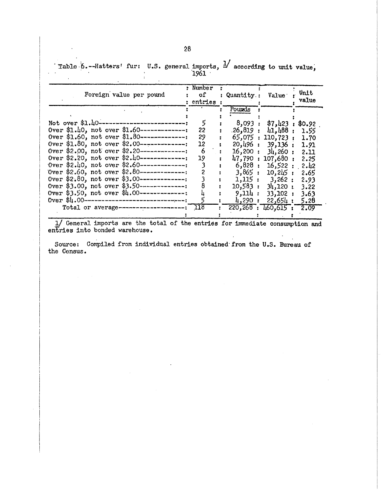Table 6.--Hatters' fur: U.S. general imports,  $\frac{1}{2}$  according to unit value,<br>1961

| Foreign value per pound                          | : Number<br>: entries : | : Quantity: Value |                         | Unit<br>value |
|--------------------------------------------------|-------------------------|-------------------|-------------------------|---------------|
|                                                  |                         | Pounds            |                         |               |
|                                                  |                         |                   |                         |               |
| Not over $$1.40$ -----------------------------   | 5                       |                   | 8,093 : \$7,423 :       | \$0.92        |
| Over $$1.40$ , not over $$1.60$ --------------:  | 22                      |                   | .26,819 : 41,488 : 1.55 |               |
| Over $$1.60$ , not over $$1.80$ ---------------  | 29                      |                   | 65,075 : 110,723 : 1.70 |               |
| Over $$1.80$ , not over $$2.00$ --------------:  | 12                      |                   | 20,496:39,136:          | 1.91          |
| Over \$2.00, not over \$2.20--------------       | 6                       |                   | $16,200 : 3\mu,260 :$   | 2.11          |
| Over \$2.20, not over $$2.40------------$        | 19                      | 47,790:           | $107,680$ :             | 2.25          |
| Over \$2.40, not over \$2.60--------------       |                         | $6,828$ :         | 16,522 : 2.42           |               |
| Over $$2.60$ , not over $$2.80$ ---------------  |                         | 3,865:            | $10,245$ :              | 2.65          |
| Over $$2,80$ , not over $$3,00$ --------------:  |                         |                   | 1,115:3,262:            | 2.93          |
| Over $$3.00$ , not over $$3.50$ ---------------: |                         | 10,583 :          | 34,120:                 | 3.22          |
| Over $$3.50$ , not over $$4.00$ ---------------  |                         | 9,114 :           | 33,102:                 | 3.63          |
| Over $$4.00$ ---------------------------------   |                         | $4,290$ :         | 22,654:                 | 5.28          |
| Total or average-----------------------          | - 118                   |                   | 220,268 : 460,615       | 2.09          |
|                                                  |                         |                   |                         |               |

1/ General imports are the total of the entries for immediate consumption and entries into bonded warehouse.

Source: Compiled from individual entries obtained from the U.S. Bureau of the Census.